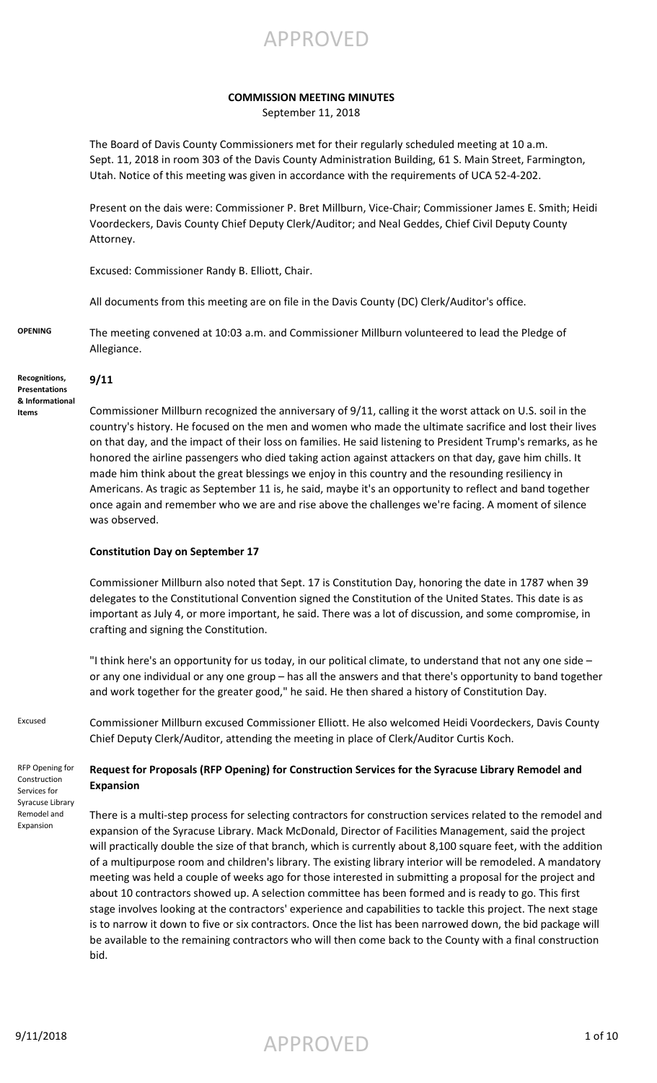APPROVED

### **COMMISSION MEETING MINUTES**

September 11, 2018

The Board of Davis County Commissioners met for their regularly scheduled meeting at 10 a.m. Sept. 11, 2018 in room 303 of the Davis County Administration Building, 61 S. Main Street, Farmington, Utah. Notice of this meeting was given in accordance with the requirements of UCA 52-4-202.

Present on the dais were: Commissioner P. Bret Millburn, Vice-Chair; Commissioner James E. Smith; Heidi Voordeckers, Davis County Chief Deputy Clerk/Auditor; and Neal Geddes, Chief Civil Deputy County Attorney.

Excused: Commissioner Randy B. Elliott, Chair.

All documents from this meeting are on file in the Davis County (DC) Clerk/Auditor's office.

**OPENING** The meeting convened at 10:03 a.m. and Commissioner Millburn volunteered to lead the Pledge of Allegiance.

**Recognitions, Presentations & Informational Items**

**9/11**

Commissioner Millburn recognized the anniversary of 9/11, calling it the worst attack on U.S. soil in the country's history. He focused on the men and women who made the ultimate sacrifice and lost their lives on that day, and the impact of their loss on families. He said listening to President Trump's remarks, as he honored the airline passengers who died taking action against attackers on that day, gave him chills. It made him think about the great blessings we enjoy in this country and the resounding resiliency in Americans. As tragic as September 11 is, he said, maybe it's an opportunity to reflect and band together once again and remember who we are and rise above the challenges we're facing. A moment of silence was observed.

### **Constitution Day on September 17**

Commissioner Millburn also noted that Sept. 17 is Constitution Day, honoring the date in 1787 when 39 delegates to the Constitutional Convention signed the Constitution of the United States. This date is as important as July 4, or more important, he said. There was a lot of discussion, and some compromise, in crafting and signing the Constitution.

"I think here's an opportunity for us today, in our political climate, to understand that not any one side – or any one individual or any one group – has all the answers and that there's opportunity to band together and work together for the greater good," he said. He then shared a history of Constitution Day.

RFP Opening for Construction Services for Syracuse Library Remodel and Expansion

Excused Commissioner Millburn excused Commissioner Elliott. He also welcomed Heidi Voordeckers, Davis County Chief Deputy Clerk/Auditor, attending the meeting in place of Clerk/Auditor Curtis Koch.

## **Request for Proposals (RFP Opening) for Construction Services for the Syracuse Library Remodel and Expansion**

There is a multi-step process for selecting contractors for construction services related to the remodel and expansion of the Syracuse Library. Mack McDonald, Director of Facilities Management, said the project will practically double the size of that branch, which is currently about 8,100 square feet, with the addition of a multipurpose room and children's library. The existing library interior will be remodeled. A mandatory meeting was held a couple of weeks ago for those interested in submitting a proposal for the project and about 10 contractors showed up. A selection committee has been formed and is ready to go. This first stage involves looking at the contractors' experience and capabilities to tackle this project. The next stage is to narrow it down to five or six contractors. Once the list has been narrowed down, the bid package will be available to the remaining contractors who will then come back to the County with a final construction bid.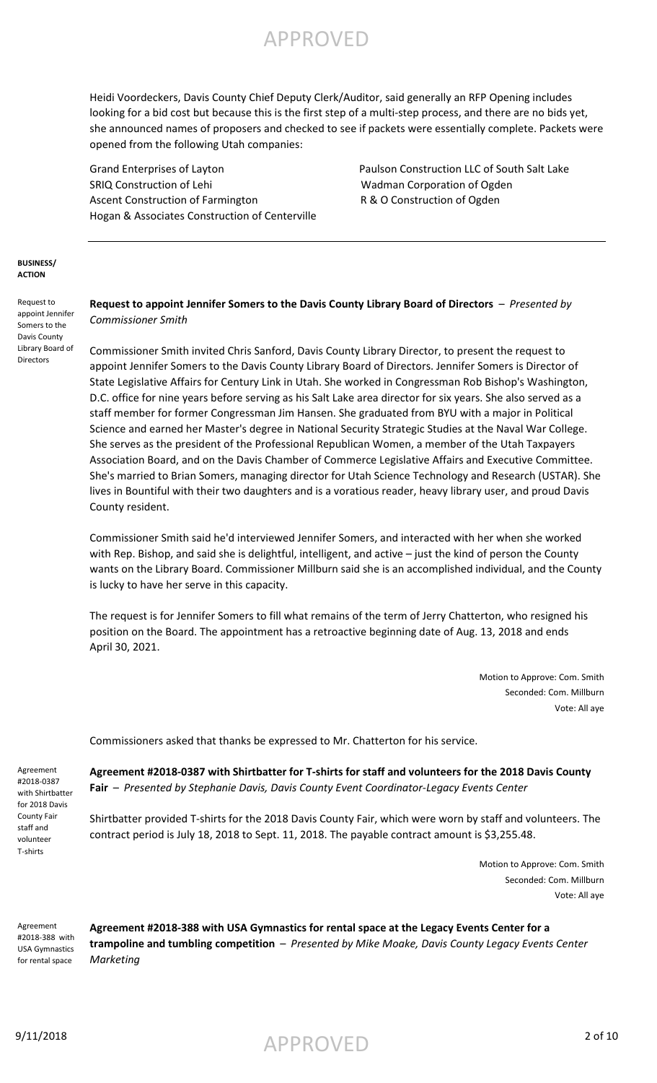

Heidi Voordeckers, Davis County Chief Deputy Clerk/Auditor, said generally an RFP Opening includes looking for a bid cost but because this is the first step of a multi-step process, and there are no bids yet, she announced names of proposers and checked to see if packets were essentially complete. Packets were opened from the following Utah companies:

Grand Enterprises of Layton **Paulson Construction LLC of South Salt Lake** SRIQ Construction of Lehi SRIQ Construction of Lehi Wadman Corporation of Ogden Ascent Construction of Farmington **R & O Construction of Ogden** Hogan & Associates Construction of Centerville

### **BUSINESS/ ACTION**

Request to appoint Jennifer Somers to the Davis County Library Board of **Directors** 

### **Request to appoint Jennifer Somers to the Davis County Library Board of Directors** – *Presented by Commissioner Smith*

Commissioner Smith invited Chris Sanford, Davis County Library Director, to present the request to appoint Jennifer Somers to the Davis County Library Board of Directors. Jennifer Somers is Director of State Legislative Affairs for Century Link in Utah. She worked in Congressman Rob Bishop's Washington, D.C. office for nine years before serving as his Salt Lake area director for six years. She also served as a staff member for former Congressman Jim Hansen. She graduated from BYU with a major in Political Science and earned her Master's degree in National Security Strategic Studies at the Naval War College. She serves as the president of the Professional Republican Women, a member of the Utah Taxpayers Association Board, and on the Davis Chamber of Commerce Legislative Affairs and Executive Committee. She's married to Brian Somers, managing director for Utah Science Technology and Research (USTAR). She lives in Bountiful with their two daughters and is a voratious reader, heavy library user, and proud Davis County resident.

Commissioner Smith said he'd interviewed Jennifer Somers, and interacted with her when she worked with Rep. Bishop, and said she is delightful, intelligent, and active – just the kind of person the County wants on the Library Board. Commissioner Millburn said she is an accomplished individual, and the County is lucky to have her serve in this capacity.

The request is for Jennifer Somers to fill what remains of the term of Jerry Chatterton, who resigned his position on the Board. The appointment has a retroactive beginning date of Aug. 13, 2018 and ends April 30, 2021.

> Motion to Approve: Com. Smith Seconded: Com. Millburn Vote: All aye

Commissioners asked that thanks be expressed to Mr. Chatterton for his service.

Agreement #2018-0387 with Shirtbatter for 2018 Davis County Fair staff and volunteer T-shirts

**Agreement #2018-0387 with Shirtbatter for T-shirts for staff and volunteers for the 2018 Davis County Fair** – *Presented by Stephanie Davis, Davis County Event Coordinator-Legacy Events Center*

Shirtbatter provided T-shirts for the 2018 Davis County Fair, which were worn by staff and volunteers. The contract period is July 18, 2018 to Sept. 11, 2018. The payable contract amount is \$3,255.48.

> Motion to Approve: Com. Smith Seconded: Com. Millburn Vote: All aye

Agreement #2018-388 with USA Gymnastics for rental space

**Agreement #2018-388 with USA Gymnastics for rental space at the Legacy Events Center for a trampoline and tumbling competition** – *Presented by Mike Moake, Davis County Legacy Events Center Marketing*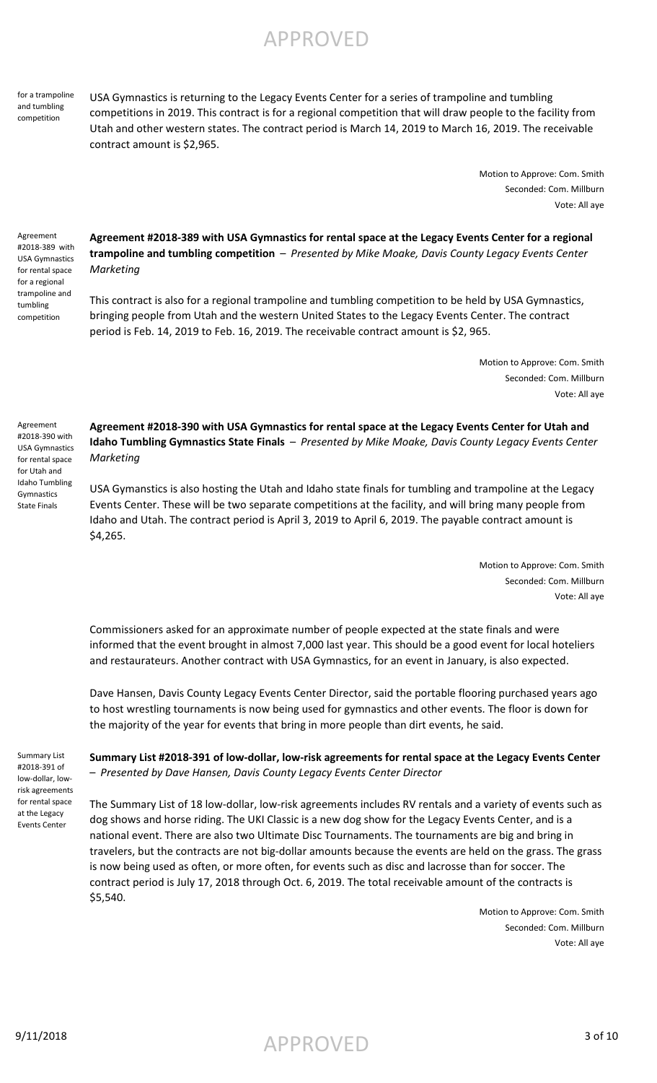for a trampoline and tumbling competition

USA Gymnastics is returning to the Legacy Events Center for a series of trampoline and tumbling competitions in 2019. This contract is for a regional competition that will draw people to the facility from Utah and other western states. The contract period is March 14, 2019 to March 16, 2019. The receivable contract amount is \$2,965.

> Motion to Approve: Com. Smith Seconded: Com. Millburn Vote: All aye

Agreement #2018-389 with USA Gymnastics for rental space for a regional trampoline and tumbling competition

**Agreement #2018-389 with USA Gymnastics for rental space at the Legacy Events Center for a regional trampoline and tumbling competition** – *Presented by Mike Moake, Davis County Legacy Events Center Marketing*

This contract is also for a regional trampoline and tumbling competition to be held by USA Gymnastics, bringing people from Utah and the western United States to the Legacy Events Center. The contract period is Feb. 14, 2019 to Feb. 16, 2019. The receivable contract amount is \$2, 965.

> Motion to Approve: Com. Smith Seconded: Com. Millburn Vote: All aye

Agreement

#2018-390 with USA Gymnastics for rental space for Utah and Idaho Tumbling Gymnastics State Finals

**Agreement #2018-390 with USA Gymnastics for rental space at the Legacy Events Center for Utah and Idaho Tumbling Gymnastics State Finals** – *Presented by Mike Moake, Davis County Legacy Events Center Marketing*

USA Gymanstics is also hosting the Utah and Idaho state finals for tumbling and trampoline at the Legacy Events Center. These will be two separate competitions at the facility, and will bring many people from Idaho and Utah. The contract period is April 3, 2019 to April 6, 2019. The payable contract amount is \$4,265.

> Motion to Approve: Com. Smith Seconded: Com. Millburn Vote: All aye

Commissioners asked for an approximate number of people expected at the state finals and were informed that the event brought in almost 7,000 last year. This should be a good event for local hoteliers and restaurateurs. Another contract with USA Gymnastics, for an event in January, is also expected.

Dave Hansen, Davis County Legacy Events Center Director, said the portable flooring purchased years ago to host wrestling tournaments is now being used for gymnastics and other events. The floor is down for the majority of the year for events that bring in more people than dirt events, he said.

Summary List #2018-391 of low-dollar, lowrisk agreements for rental space at the Legacy Events Center

**Summary List #2018-391 of low-dollar, low-risk agreements for rental space at the Legacy Events Center**  – *Presented by Dave Hansen, Davis County Legacy Events Center Director*

The Summary List of 18 low-dollar, low-risk agreements includes RV rentals and a variety of events such as dog shows and horse riding. The UKI Classic is a new dog show for the Legacy Events Center, and is a national event. There are also two Ultimate Disc Tournaments. The tournaments are big and bring in travelers, but the contracts are not big-dollar amounts because the events are held on the grass. The grass is now being used as often, or more often, for events such as disc and lacrosse than for soccer. The contract period is July 17, 2018 through Oct. 6, 2019. The total receivable amount of the contracts is \$5,540.

> Motion to Approve: Com. Smith Seconded: Com. Millburn Vote: All aye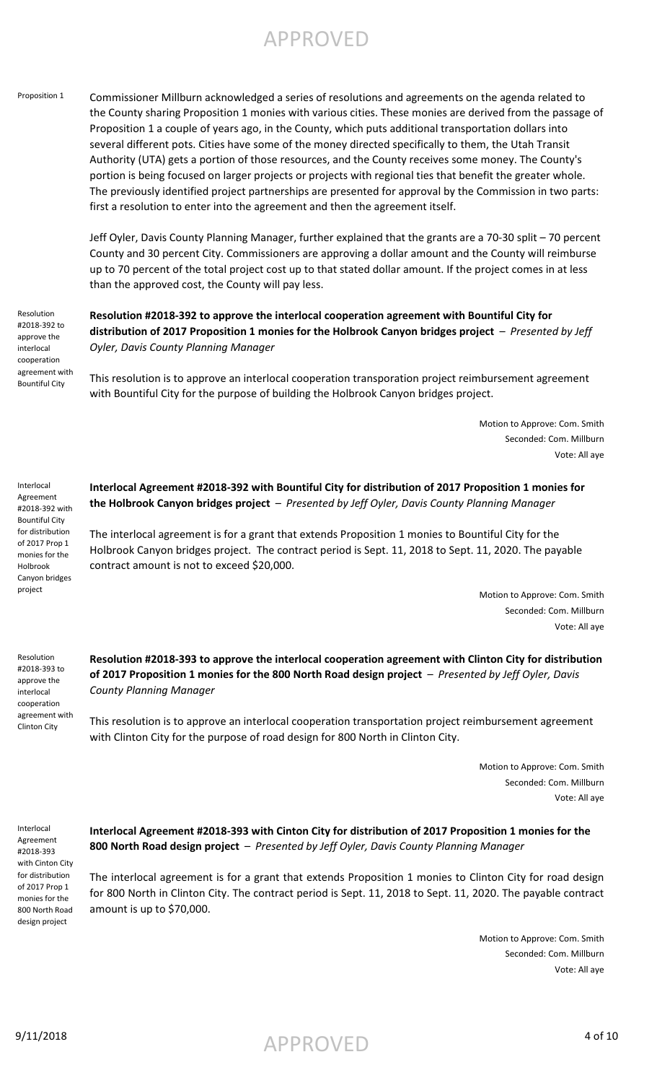Proposition 1 Commissioner Millburn acknowledged a series of resolutions and agreements on the agenda related to the County sharing Proposition 1 monies with various cities. These monies are derived from the passage of Proposition 1 a couple of years ago, in the County, which puts additional transportation dollars into several different pots. Cities have some of the money directed specifically to them, the Utah Transit Authority (UTA) gets a portion of those resources, and the County receives some money. The County's portion is being focused on larger projects or projects with regional ties that benefit the greater whole. The previously identified project partnerships are presented for approval by the Commission in two parts: first a resolution to enter into the agreement and then the agreement itself.

> Jeff Oyler, Davis County Planning Manager, further explained that the grants are a 70-30 split – 70 percent County and 30 percent City. Commissioners are approving a dollar amount and the County will reimburse up to 70 percent of the total project cost up to that stated dollar amount. If the project comes in at less than the approved cost, the County will pay less.

Resolution #2018-392 to approve the interlocal cooperation agreement with Bountiful City

Interlocal Agreement #2018-392 with Bountiful City for distribution of 2017 Prop 1 monies for the Holbrook Canyon bridges project

**Resolution #2018-392 to approve the interlocal cooperation agreement with Bountiful City for distribution of 2017 Proposition 1 monies for the Holbrook Canyon bridges project** – *Presented by Jeff Oyler, Davis County Planning Manager*

This resolution is to approve an interlocal cooperation transporation project reimbursement agreement with Bountiful City for the purpose of building the Holbrook Canyon bridges project.

> Motion to Approve: Com. Smith Seconded: Com. Millburn Vote: All aye

**Interlocal Agreement #2018-392 with Bountiful City for distribution of 2017 Proposition 1 monies for the Holbrook Canyon bridges project** – *Presented by Jeff Oyler, Davis County Planning Manager*

The interlocal agreement is for a grant that extends Proposition 1 monies to Bountiful City for the Holbrook Canyon bridges project. The contract period is Sept. 11, 2018 to Sept. 11, 2020. The payable contract amount is not to exceed \$20,000.

> Motion to Approve: Com. Smith Seconded: Com. Millburn Vote: All aye

Resolution #2018-393 to approve the interlocal cooperation agreement with Clinton City

**Resolution #2018-393 to approve the interlocal cooperation agreement with Clinton City for distribution of 2017 Proposition 1 monies for the 800 North Road design project** – *Presented by Jeff Oyler, Davis County Planning Manager*

This resolution is to approve an interlocal cooperation transportation project reimbursement agreement with Clinton City for the purpose of road design for 800 North in Clinton City.

> Motion to Approve: Com. Smith Seconded: Com. Millburn Vote: All aye

Interlocal Agreement #2018-393 with Cinton City for distribution of 2017 Prop 1 monies for the 800 North Road design project

**Interlocal Agreement #2018-393 with Cinton City for distribution of 2017 Proposition 1 monies for the 800 North Road design project** – *Presented by Jeff Oyler, Davis County Planning Manager*

The interlocal agreement is for a grant that extends Proposition 1 monies to Clinton City for road design for 800 North in Clinton City. The contract period is Sept. 11, 2018 to Sept. 11, 2020. The payable contract amount is up to \$70,000.

> Motion to Approve: Com. Smith Seconded: Com. Millburn Vote: All aye

 $\mathsf{APPROVED}$  4 of 10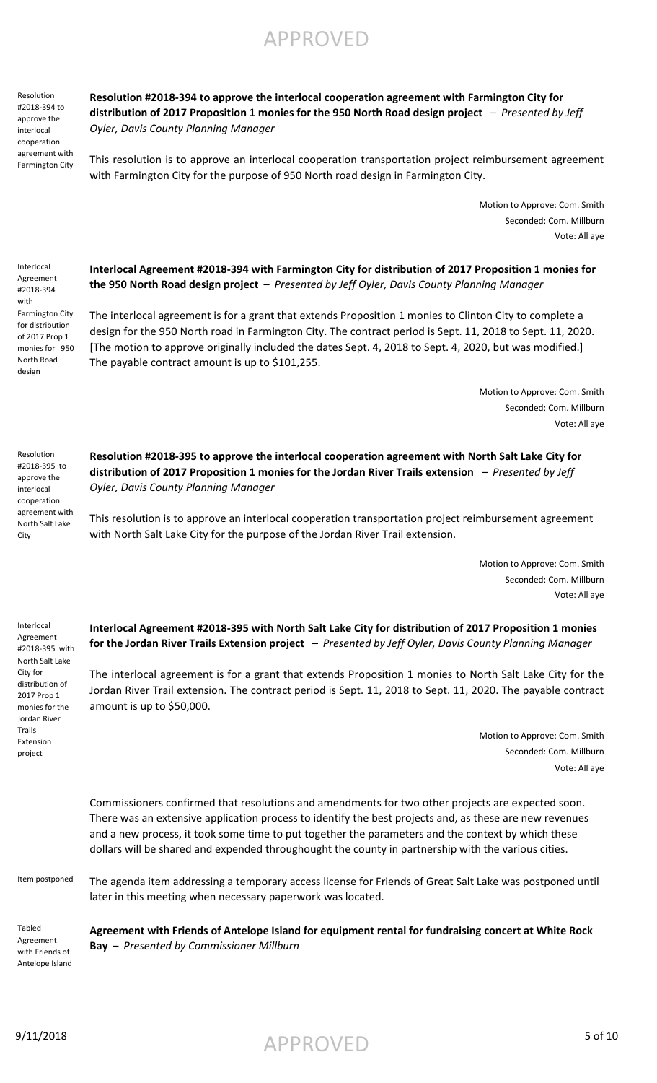**Agreement with Friends of Antelope Island for equipment rental for fundraising concert at White Rock Bay** – *Presented by Commissioner Millburn*

Item postponed The agenda item addressing a temporary access license for Friends of Great Salt Lake was postponed until

later in this meeting when necessary paperwork was located.

Extension project

**Interlocal Agreement #2018-395 with North Salt Lake City for distribution of 2017 Proposition 1 monies for the Jordan River Trails Extension project** – *Presented by Jeff Oyler, Davis County Planning Manager*

The interlocal agreement is for a grant that extends Proposition 1 monies to North Salt Lake City for the Jordan River Trail extension. The contract period is Sept. 11, 2018 to Sept. 11, 2020. The payable contract

> Motion to Approve: Com. Smith Seconded: Com. Millburn

Commissioners confirmed that resolutions and amendments for two other projects are expected soon. There was an extensive application process to identify the best projects and, as these are new revenues and a new process, it took some time to put together the parameters and the context by which these dollars will be shared and expended throughought the county in partnership with the various cities.

amount is up to \$50,000. distribution of monies for the

Vote: All aye

**the 950 North Road design project** – *Presented by Jeff Oyler, Davis County Planning Manager*

**Interlocal Agreement #2018-394 with Farmington City for distribution of 2017 Proposition 1 monies for** 

The interlocal agreement is for a grant that extends Proposition 1 monies to Clinton City to complete a design for the 950 North road in Farmington City. The contract period is Sept. 11, 2018 to Sept. 11, 2020. [The motion to approve originally included the dates Sept. 4, 2018 to Sept. 4, 2020, but was modified.] The payable contract amount is up to \$101,255.

**Resolution #2018-395 to approve the interlocal cooperation agreement with North Salt Lake City for distribution of 2017 Proposition 1 monies for the Jordan River Trails extension** – *Presented by Jeff* 

This resolution is to approve an interlocal cooperation transportation project reimbursement agreement

with North Salt Lake City for the purpose of the Jordan River Trail extension.

Motion to Approve: Com. Smith

Seconded: Com. Millburn

Motion to Approve: Com. Smith Seconded: Com. Millburn

Motion to Approve: Com. Smith Seconded: Com. Millburn

Vote: All aye

Vote: All aye

Vote: All aye

Resolution #2018-395 to approve the interlocal cooperation agreement with North Salt Lake

City

Interlocal Agreement #2018-395 with North Salt Lake City for

2017 Prop 1

Jordan River Trails

*Oyler, Davis County Planning Manager*

## **Resolution #2018-394 to approve the interlocal cooperation agreement with Farmington City for distribution of 2017 Proposition 1 monies for the 950 North Road design project** – *Presented by Jeff*

*Oyler, Davis County Planning Manager*

APPROVED

This resolution is to approve an interlocal cooperation transportation project reimbursement agreement

with Farmington City for the purpose of 950 North road design in Farmington City. cooperation agreement with Farmington City

Resolution #2018-394 to approve the interlocal

Interlocal Agreement #2018-394 with

Farmington City for distribution of 2017 Prop 1 monies for 950 North Road design

Tabled Agreement with Friends of Antelope Island

# $\mathsf{APPROVED}$  5 of 10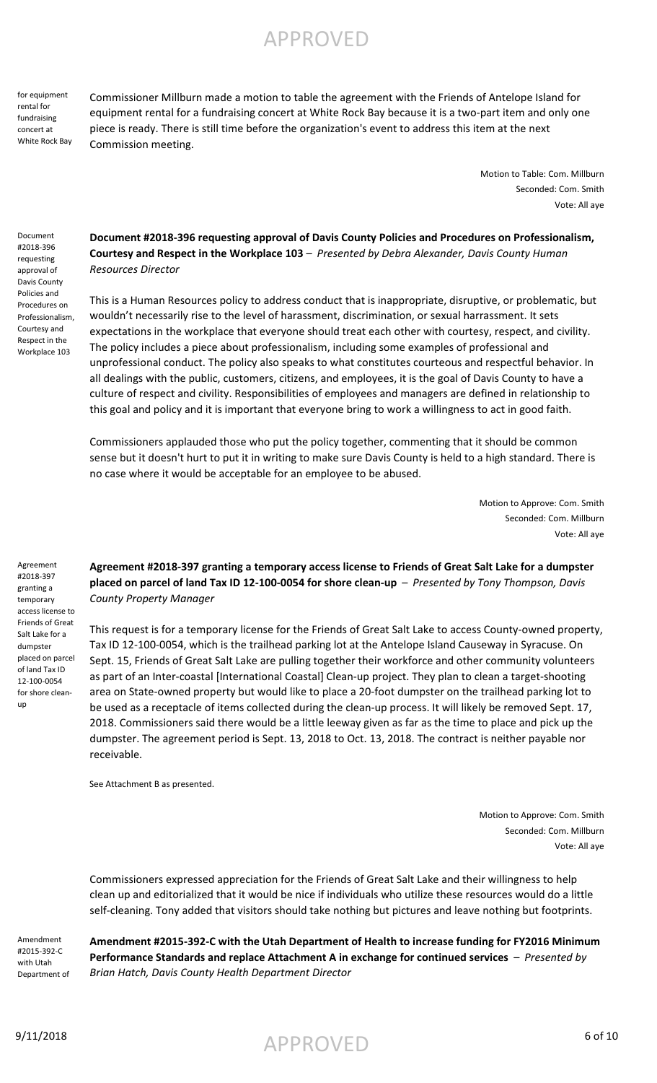for equipment rental for fundraising concert at White Rock Bay Commissioner Millburn made a motion to table the agreement with the Friends of Antelope Island for equipment rental for a fundraising concert at White Rock Bay because it is a two-part item and only one piece is ready. There is still time before the organization's event to address this item at the next Commission meeting.

> Motion to Table: Com. Millburn Seconded: Com. Smith Vote: All aye

Document #2018-396 requesting approval of Davis County Policies and Procedures on Professionalism, Courtesy and Respect in the Workplace 103

Agreement #2018-397 granting a temporary access license to Friends of Great Salt Lake for a dumpster placed on parcel of land Tax ID 12-100-0054 for shore clean-

up

**Document #2018-396 requesting approval of Davis County Policies and Procedures on Professionalism, Courtesy and Respect in the Workplace 103** – *Presented by Debra Alexander, Davis County Human Resources Director*

This is a Human Resources policy to address conduct that is inappropriate, disruptive, or problematic, but wouldn't necessarily rise to the level of harassment, discrimination, or sexual harrassment. It sets expectations in the workplace that everyone should treat each other with courtesy, respect, and civility. The policy includes a piece about professionalism, including some examples of professional and unprofessional conduct. The policy also speaks to what constitutes courteous and respectful behavior. In all dealings with the public, customers, citizens, and employees, it is the goal of Davis County to have a culture of respect and civility. Responsibilities of employees and managers are defined in relationship to this goal and policy and it is important that everyone bring to work a willingness to act in good faith.

Commissioners applauded those who put the policy together, commenting that it should be common sense but it doesn't hurt to put it in writing to make sure Davis County is held to a high standard. There is no case where it would be acceptable for an employee to be abused.

> Motion to Approve: Com. Smith Seconded: Com. Millburn Vote: All aye

**Agreement #2018-397 granting a temporary access license to Friends of Great Salt Lake for a dumpster placed on parcel of land Tax ID 12-100-0054 for shore clean-up** – *Presented by Tony Thompson, Davis County Property Manager*

This request is for a temporary license for the Friends of Great Salt Lake to access County-owned property, Tax ID 12-100-0054, which is the trailhead parking lot at the Antelope Island Causeway in Syracuse. On Sept. 15, Friends of Great Salt Lake are pulling together their workforce and other community volunteers as part of an Inter-coastal [International Coastal] Clean-up project. They plan to clean a target-shooting area on State-owned property but would like to place a 20-foot dumpster on the trailhead parking lot to be used as a receptacle of items collected during the clean-up process. It will likely be removed Sept. 17, 2018. Commissioners said there would be a little leeway given as far as the time to place and pick up the dumpster. The agreement period is Sept. 13, 2018 to Oct. 13, 2018. The contract is neither payable nor receivable.

See Attachment B as presented.

Motion to Approve: Com. Smith Seconded: Com. Millburn Vote: All aye

Commissioners expressed appreciation for the Friends of Great Salt Lake and their willingness to help clean up and editorialized that it would be nice if individuals who utilize these resources would do a little self-cleaning. Tony added that visitors should take nothing but pictures and leave nothing but footprints.

#2015-392-C with Utah Department of **Amendment #2015-392-C with the Utah Department of Health to increase funding for FY2016 Minimum Performance Standards and replace Attachment A in exchange for continued services** – *Presented by Brian Hatch, Davis County Health Department Director*

Amendment

 $\mathsf{APPROVED} \tag{6 of 10}$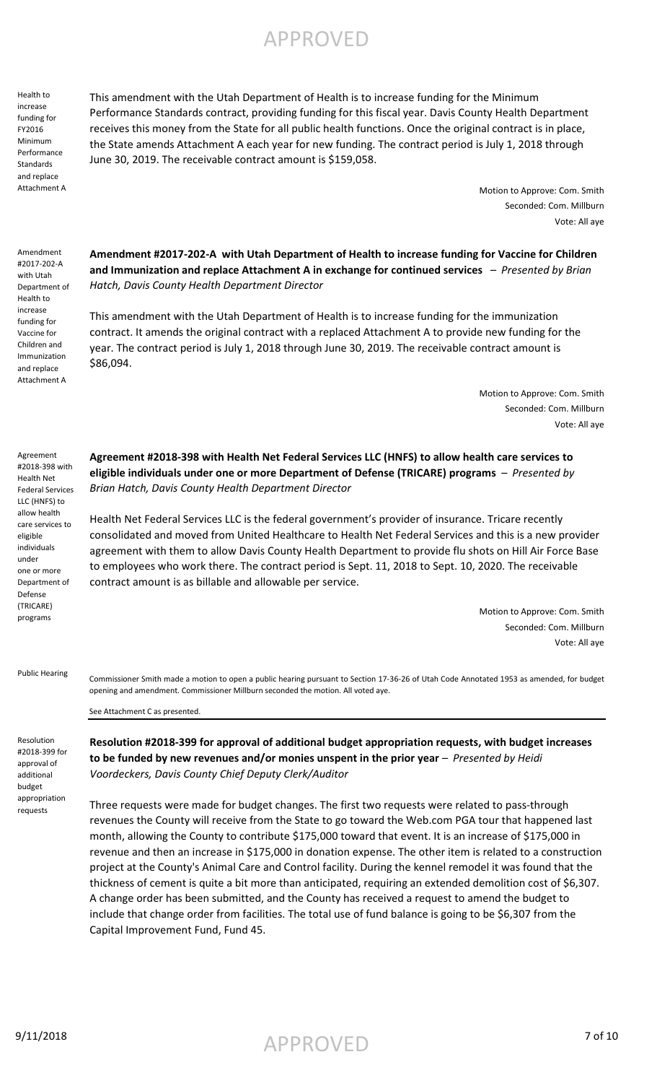*Brian Hatch, Davis County Health Department Director*

Health Net Federal Services LLC is the federal government's provider of insurance. Tricare recently consolidated and moved from United Healthcare to Health Net Federal Services and this is a new provider agreement with them to allow Davis County Health Department to provide flu shots on Hill Air Force Base to employees who work there. The contract period is Sept. 11, 2018 to Sept. 10, 2020. The receivable contract amount is as billable and allowable per service.

> Motion to Approve: Com. Smith Seconded: Com. Millburn Vote: All aye

Commissioner Smith made a motion to open a public hearing pursuant to Section 17-36-26 of Utah Code Annotated 1953 as amended, for budget opening and amendment. Commissioner Millburn seconded the motion. All voted aye. Public Hearing

See Attachment C as presented.

Resolution #2018-399 for approval of additional budget appropriation requests

**Resolution #2018-399 for approval of additional budget appropriation requests, with budget increases**  to be funded by new revenues and/or monies unspent in the prior year - *Presented by Heidi Voordeckers, Davis County Chief Deputy Clerk/Auditor*

Three requests were made for budget changes. The first two requests were related to pass-through revenues the County will receive from the State to go toward the Web.com PGA tour that happened last month, allowing the County to contribute \$175,000 toward that event. It is an increase of \$175,000 in revenue and then an increase in \$175,000 in donation expense. The other item is related to a construction project at the County's Animal Care and Control facility. During the kennel remodel it was found that the thickness of cement is quite a bit more than anticipated, requiring an extended demolition cost of \$6,307. A change order has been submitted, and the County has received a request to amend the budget to include that change order from facilities. The total use of fund balance is going to be \$6,307 from the Capital Improvement Fund, Fund 45.

This amendment with the Utah Department of Health is to increase funding for the Minimum Performance Standards contract, providing funding for this fiscal year. Davis County Health Department receives this money from the State for all public health functions. Once the original contract is in place, the State amends Attachment A each year for new funding. The contract period is July 1, 2018 through June 30, 2019. The receivable contract amount is \$159,058.

> Motion to Approve: Com. Smith Seconded: Com. Millburn Vote: All aye

**Amendment #2017-202-A with Utah Department of Health to increase funding for Vaccine for Children and Immunization and replace Attachment A in exchange for continued services** – *Presented by Brian Hatch, Davis County Health Department Director*

This amendment with the Utah Department of Health is to increase funding for the immunization contract. It amends the original contract with a replaced Attachment A to provide new funding for the year. The contract period is July 1, 2018 through June 30, 2019. The receivable contract amount is \$86,094.

**Agreement #2018-398 with Health Net Federal Services LLC (HNFS) to allow health care services to eligible individuals under one or more Department of Defense (TRICARE) programs** – *Presented by* 

Motion to Approve: Com. Smith Seconded: Com. Millburn Vote: All aye

Agreement #2018-398 with Health Net Federal Services LLC (HNFS) to allow health care services to eligible individuals under one or more Department of Defense

(TRICARE) programs

Health to increase funding for FY2016 Minimum Performance **Standards** and replace Attachment A

Amendment #2017-202-A with Utah Department of Health to increase funding for Vaccine for Children and Immunization and replace Attachment A

# APPROVED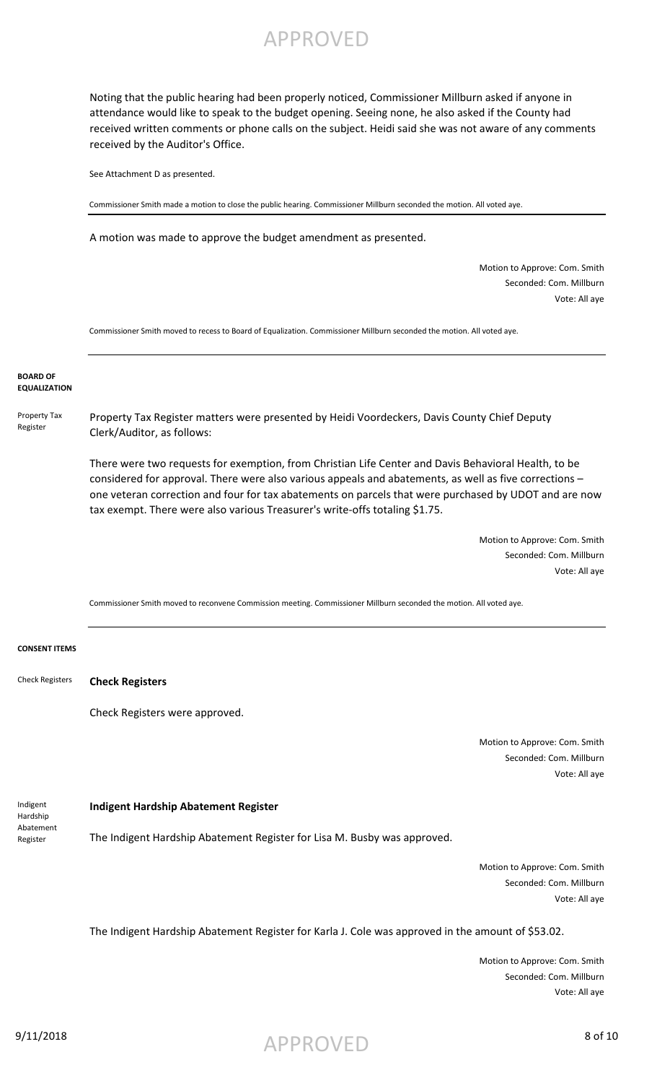Noting that the public hearing had been properly noticed, Commissioner Millburn asked if anyone in attendance would like to speak to the budget opening. Seeing none, he also asked if the County had received written comments or phone calls on the subject. Heidi said she was not aware of any comments received by the Auditor's Office.

See Attachment D as presented.

Commissioner Smith made a motion to close the public hearing. Commissioner Millburn seconded the motion. All voted aye.

A motion was made to approve the budget amendment as presented.

Motion to Approve: Com. Smith Seconded: Com. Millburn Vote: All aye

Commissioner Smith moved to recess to Board of Equalization. Commissioner Millburn seconded the motion. All voted aye.

### **BOARD OF EQUALIZATION**

Property Tax Register Property Tax Register matters were presented by Heidi Voordeckers, Davis County Chief Deputy Clerk/Auditor, as follows:

> There were two requests for exemption, from Christian Life Center and Davis Behavioral Health, to be considered for approval. There were also various appeals and abatements, as well as five corrections – one veteran correction and four for tax abatements on parcels that were purchased by UDOT and are now tax exempt. There were also various Treasurer's write-offs totaling \$1.75.

> > Motion to Approve: Com. Smith Seconded: Com. Millburn Vote: All aye

Commissioner Smith moved to reconvene Commission meeting. Commissioner Millburn seconded the motion. All voted aye.

### **CONSENT ITEMS**

**Check Registers** Check Registers

Check Registers were approved.

Motion to Approve: Com. Smith Seconded: Com. Millburn Vote: All aye

**Indigent Hardship Abatement Register** The Indigent Hardship Abatement Register for Lisa M. Busby was approved. Indigent Hardship Abatement Register

> Motion to Approve: Com. Smith Seconded: Com. Millburn Vote: All aye

The Indigent Hardship Abatement Register for Karla J. Cole was approved in the amount of \$53.02.

Motion to Approve: Com. Smith Seconded: Com. Millburn Vote: All aye

 $\mathsf{APPROVED}$  8 of 10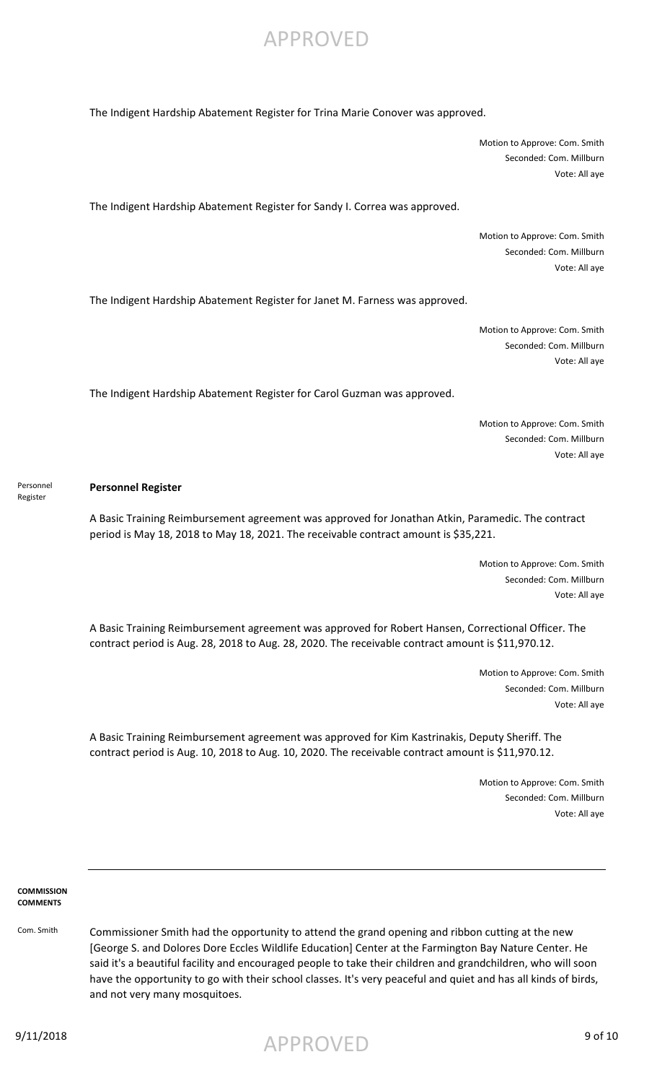

Motion to Approve: Com. Smith Seconded: Com. Millburn Vote: All aye

The Indigent Hardship Abatement Register for Sandy I. Correa was approved.

Motion to Approve: Com. Smith Seconded: Com. Millburn Vote: All aye

The Indigent Hardship Abatement Register for Janet M. Farness was approved.

Motion to Approve: Com. Smith Seconded: Com. Millburn Vote: All aye

The Indigent Hardship Abatement Register for Carol Guzman was approved.

Motion to Approve: Com. Smith Seconded: Com. Millburn Vote: All aye

**Personnel Register** Personnel Register

A Basic Training Reimbursement agreement was approved for Jonathan Atkin, Paramedic. The contract period is May 18, 2018 to May 18, 2021. The receivable contract amount is \$35,221.

> Motion to Approve: Com. Smith Seconded: Com. Millburn Vote: All aye

A Basic Training Reimbursement agreement was approved for Robert Hansen, Correctional Officer. The contract period is Aug. 28, 2018 to Aug. 28, 2020. The receivable contract amount is \$11,970.12.

> Motion to Approve: Com. Smith Seconded: Com. Millburn Vote: All aye

A Basic Training Reimbursement agreement was approved for Kim Kastrinakis, Deputy Sheriff. The contract period is Aug. 10, 2018 to Aug. 10, 2020. The receivable contract amount is \$11,970.12.

> Motion to Approve: Com. Smith Seconded: Com. Millburn Vote: All aye

**COMMISSION COMMENTS**

Com. Smith Commissioner Smith had the opportunity to attend the grand opening and ribbon cutting at the new [George S. and Dolores Dore Eccles Wildlife Education] Center at the Farmington Bay Nature Center. He said it's a beautiful facility and encouraged people to take their children and grandchildren, who will soon have the opportunity to go with their school classes. It's very peaceful and quiet and has all kinds of birds, and not very many mosquitoes.

9/11/2018 9 of 10